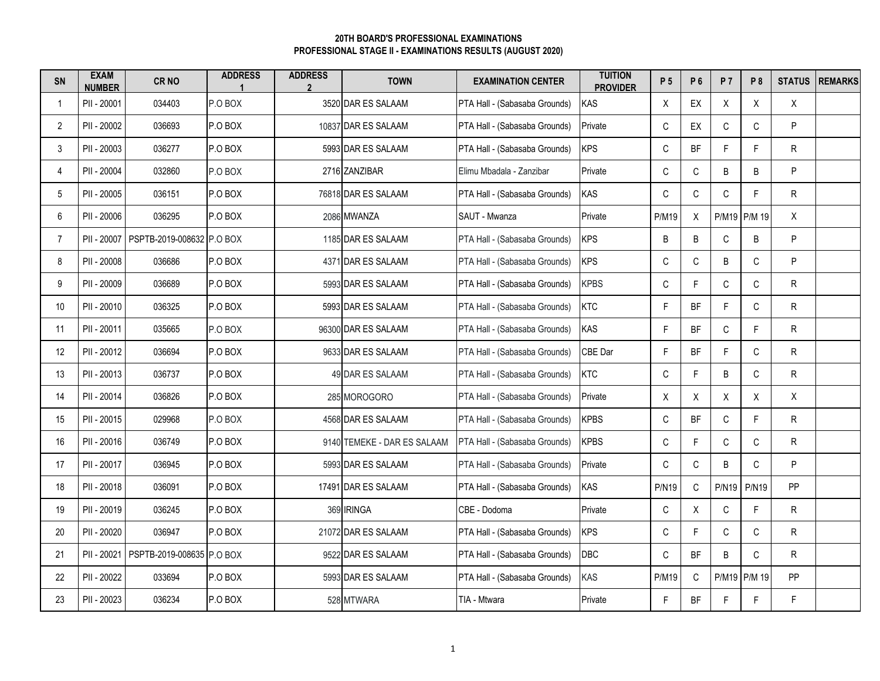## **PROFESSIONAL STAGE II - EXAMINATIONS RESULTS (AUGUST 2020) 20TH BOARD'S PROFESSIONAL EXAMINATIONS**

| <b>SN</b>       | <b>EXAM</b><br><b>NUMBER</b> | CR <sub>NO</sub>          | <b>ADDRESS</b> | <b>ADDRESS</b><br>$\overline{2}$ | <b>TOWN</b>                 | <b>EXAMINATION CENTER</b>     | <b>TUITION</b><br><b>PROVIDER</b> | P 5          | P 6         | <b>P7</b>    | <b>P8</b>    | <b>STATUS</b> | <b>REMARKS</b> |
|-----------------|------------------------------|---------------------------|----------------|----------------------------------|-----------------------------|-------------------------------|-----------------------------------|--------------|-------------|--------------|--------------|---------------|----------------|
| 1               | PII - 20001                  | 034403                    | P.O BOX        |                                  | 3520 DAR ES SALAAM          | PTA Hall - (Sabasaba Grounds) | KAS                               | X            | EX          | Χ            | X            | X             |                |
| $\overline{2}$  | PII - 20002                  | 036693                    | P.O BOX        |                                  | 10837 DAR ES SALAAM         | PTA Hall - (Sabasaba Grounds) | Private                           | $\mathsf C$  | EX          | C            | C            | P             |                |
| 3               | PII - 20003                  | 036277                    | P.O BOX        |                                  | 5993 DAR ES SALAAM          | PTA Hall - (Sabasaba Grounds) | <b>KPS</b>                        | $\mathsf C$  | <b>BF</b>   | F            | F            | ${\sf R}$     |                |
| 4               | PII - 20004                  | 032860                    | P.O BOX        |                                  | 2716 ZANZIBAR               | Elimu Mbadala - Zanzibar      | Private                           | C            | $\mathsf C$ | B            | B            | P             |                |
| 5               | PII - 20005                  | 036151                    | P.O BOX        |                                  | 76818 DAR ES SALAAM         | PTA Hall - (Sabasaba Grounds) | <b>KAS</b>                        | $\mathsf C$  | С           | $\mathsf C$  | F.           | $\mathsf{R}$  |                |
| 6               | PII - 20006                  | 036295                    | P.O BOX        |                                  | 2086 MWANZA                 | SAUT - Mwanza                 | Private                           | <b>P/M19</b> | X           |              | P/M19 P/M 19 | X             |                |
| $\overline{7}$  | PII - 20007                  | PSPTB-2019-008632 P.O BOX |                |                                  | 1185 DAR ES SALAAM          | PTA Hall - (Sabasaba Grounds) | <b>KPS</b>                        | B            | B           | $\mathbb C$  | B            | P             |                |
| 8               | PII - 20008                  | 036686                    | P.O BOX        |                                  | 4371 DAR ES SALAAM          | PTA Hall - (Sabasaba Grounds) | <b>KPS</b>                        | $\mathsf C$  | $\mathsf C$ | B            | C            | P             |                |
| 9               | PII - 20009                  | 036689                    | P.O BOX        |                                  | 5993 DAR ES SALAAM          | PTA Hall - (Sabasaba Grounds) | <b>KPBS</b>                       | $\mathsf C$  | F           | $\mathsf{C}$ | C            | ${\sf R}$     |                |
| 10 <sup>°</sup> | PII - 20010                  | 036325                    | P.O BOX        |                                  | 5993 DAR ES SALAAM          | PTA Hall - (Sabasaba Grounds) | <b>KTC</b>                        | F            | BF          | F            | $\mathbb C$  | $\mathsf{R}$  |                |
| 11              | PII - 20011                  | 035665                    | P.O BOX        |                                  | 96300 DAR ES SALAAM         | PTA Hall - (Sabasaba Grounds) | <b>KAS</b>                        | F            | BF          | $\mathsf C$  | F.           | $\mathsf{R}$  |                |
| 12              | PII - 20012                  | 036694                    | P.O BOX        |                                  | 9633 DAR ES SALAAM          | PTA Hall - (Sabasaba Grounds) | CBE Dar                           | F            | BF          | F            | C            | ${\sf R}$     |                |
| 13              | PII - 20013                  | 036737                    | P.O BOX        |                                  | 49 DAR ES SALAAM            | PTA Hall - (Sabasaba Grounds) | <b>KTC</b>                        | $\mathsf C$  | F.          | B            | $\mathsf C$  | $\mathsf{R}$  |                |
| 14              | PII - 20014                  | 036826                    | P.O BOX        |                                  | 285 MOROGORO                | PTA Hall - (Sabasaba Grounds) | Private                           | X            | X           | X            | X            | X             |                |
| 15              | PII - 20015                  | 029968                    | P.O BOX        |                                  | 4568 DAR ES SALAAM          | PTA Hall - (Sabasaba Grounds) | <b>KPBS</b>                       | C            | BF          | C            | F.           | R             |                |
| 16              | PII - 20016                  | 036749                    | P.O BOX        |                                  | 9140 TEMEKE - DAR ES SALAAM | PTA Hall - (Sabasaba Grounds) | <b>KPBS</b>                       | $\mathsf C$  | F.          | $\mathsf C$  | $\mathbb C$  | $\mathsf{R}$  |                |
| 17              | PII - 20017                  | 036945                    | P.O BOX        |                                  | 5993 DAR ES SALAAM          | PTA Hall - (Sabasaba Grounds) | Private                           | C            | C           | B            | $\mathsf C$  | P             |                |
| 18              | PII - 20018                  | 036091                    | P.O BOX        |                                  | 17491 DAR ES SALAAM         | PTA Hall - (Sabasaba Grounds) | <b>KAS</b>                        | <b>P/N19</b> | C           | <b>P/N19</b> | <b>P/N19</b> | PP            |                |
| 19              | PII - 20019                  | 036245                    | P.O BOX        |                                  | 369 IRINGA                  | CBE - Dodoma                  | Private                           | С            | Χ           | C            | F            | ${\sf R}$     |                |
| 20              | PII - 20020                  | 036947                    | P.O BOX        |                                  | 21072 DAR ES SALAAM         | PTA Hall - (Sabasaba Grounds) | <b>KPS</b>                        | $\mathsf C$  | F           | $\mathsf{C}$ | $\mathsf C$  | $\mathsf{R}$  |                |
| 21              | PII - 20021                  | PSPTB-2019-008635 P.O BOX |                |                                  | 9522 DAR ES SALAAM          | PTA Hall - (Sabasaba Grounds) | <b>DBC</b>                        | $\mathsf C$  | BF          | B            | $\mathsf C$  | $\mathsf{R}$  |                |
| 22              | PII - 20022                  | 033694                    | P.O BOX        |                                  | 5993 DAR ES SALAAM          | PTA Hall - (Sabasaba Grounds) | KAS                               | <b>P/M19</b> | C           |              | P/M19 P/M 19 | PP            |                |
| 23              | PII - 20023                  | 036234                    | P.O BOX        |                                  | 528 MTWARA                  | TIA - Mtwara                  | Private                           | F            | BF          | E            | F            | F             |                |